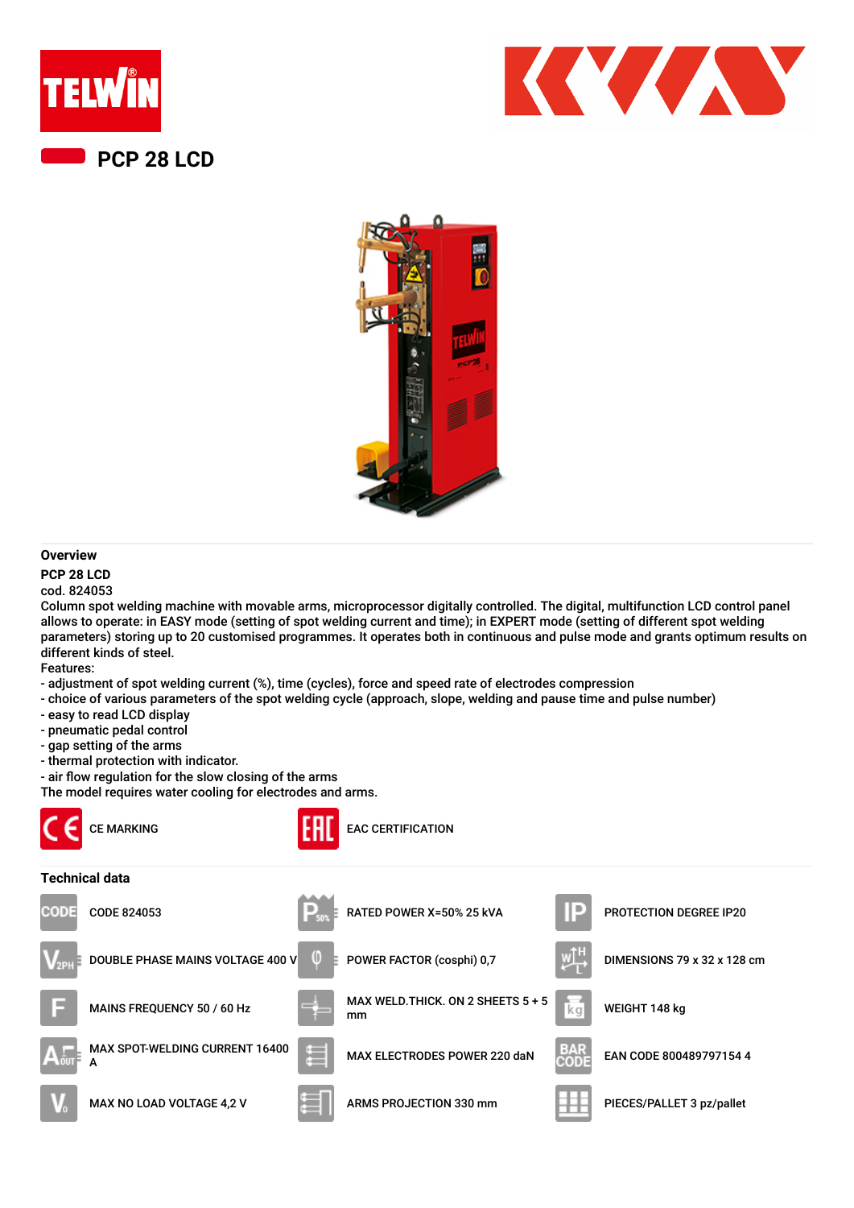





## **Overview**

## **PCP 28 LCD**

cod. 824053

Column spot welding machine with movable arms, microprocessor digitally controlled. The digital, multifunction LCD control panel allows to operate: in EASY mode (setting of spot welding current and time); in EXPERT mode (setting of different spot welding parameters) storing up to 20 customised programmes. It operates both in continuous and pulse mode and grants optimum results on different kinds of steel.

Features:

- adjustment of spot welding current (%), time (cycles), force and speed rate of electrodes compression
- choice of various parameters of the spot welding cycle (approach, slope, welding and pause time and pulse number)
- easy to read LCD display
- pneumatic pedal control
- gap setting of the arms
- thermal protection with indicator.
- air flow regulation for the slow closing of the arms

The model requires water cooling for electrodes and arms.